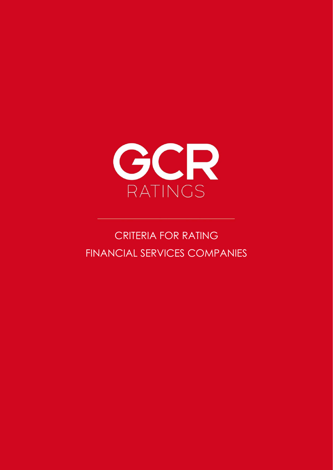

# CRITERIA FOR RATING FINANCIAL SERVICES COMPANIES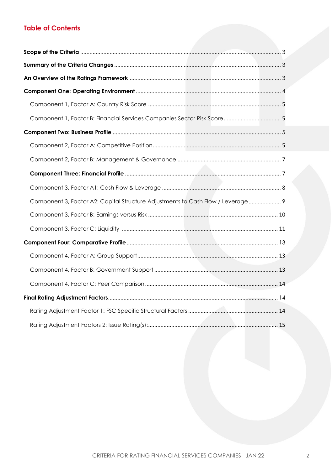### **Table of Contents**

<span id="page-1-0"></span>

| Component 3, Factor A2: Capital Structure Adjustments to Cash Flow / Leverage 9 |  |
|---------------------------------------------------------------------------------|--|
|                                                                                 |  |
|                                                                                 |  |
|                                                                                 |  |
|                                                                                 |  |
|                                                                                 |  |
|                                                                                 |  |
|                                                                                 |  |
|                                                                                 |  |
|                                                                                 |  |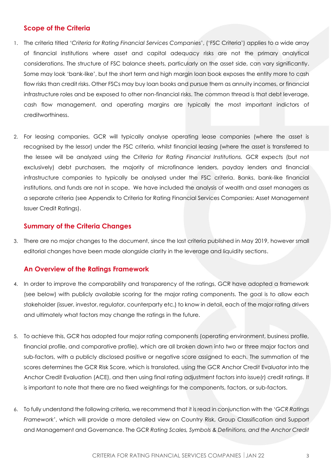### **Scope of the Criteria**

- 1. The criteria titled '*Criteria for Rating Financial Services Companies*', ('FSC Criteria') applies to a wide array of financial institutions where asset and capital adequacy risks are not the primary analytical considerations. The structure of FSC balance sheets, particularly on the asset side, can vary significantly. Some may look 'bank-like', but the short term and high margin loan book exposes the entity more to cash flow risks than credit risks. Other FSCs may buy loan books and pursue them as annuity incomes, or financial infrastructure roles and be exposed to other non-financial risks. The common thread is that debt leverage, cash flow management, and operating margins are typically the most important indictors of creditworthiness.
- 2. For leasing companies, GCR will typically analyse operating lease companies (where the asset is recognised by the lessor) under the FSC criteria, whilst financial leasing (where the asset is transferred to the lessee will be analyzed using the *Criteria for Rating Financial Institutions.* GCR expects (but not exclusively) debt purchasers, the majority of microfinance lenders, payday lenders and financial infrastructure companies to typically be analysed under the FSC criteria. Banks, bank-like financial institutions, and funds are not in scope. We have included the analysis of wealth and asset managers as a separate criteria (see Appendix to Criteria for Rating Financial Services Companies: Asset Management Issuer Credit Ratings).

### <span id="page-2-0"></span>**Summary of the Criteria Changes**

3. There are no major changes to the document, since the last criteria published in May 2019, however small editorial changes have been made alongside clarity in the leverage and liquidity sections.

### <span id="page-2-1"></span>**An Overview of the Ratings Framework**

- 4. In order to improve the comparability and transparency of the ratings, GCR have adopted a framework (see below) with publicly available scoring for the major rating components. The goal is to allow each stakeholder (issuer, investor, regulator, counterparty etc.) to know in detail, each of the major rating drivers and ultimately what factors may change the ratings in the future.
- 5. To achieve this, GCR has adopted four major rating components (operating environment, business profile, financial profile, and comparative profile), which are all broken down into two or three major factors and sub-factors, with a publicly disclosed positive or negative score assigned to each. The summation of the scores determines the GCR Risk Score, which is translated, using the GCR Anchor Credit Evaluator into the Anchor Credit Evaluation (ACE), and then using final rating adjustment factors into issue(r) credit ratings. It is important to note that there are no fixed weightings for the components, factors, or sub-factors.
- 6. To fully understand the following criteria, we recommend that it is read in conjunction with the '*GCR Ratings Framework'*, which will provide a more detailed view on Country Risk, Group Classification and Support and Management and Governance. The GCR *Rating Scales, Symbols & Definitions, and the Anchor Credit*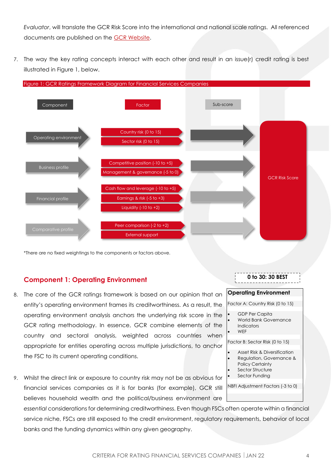*Evaluator*, will translate the GCR Risk Score into the international and national scale ratings. All referenced documents are published on the [GCR Website.](https://gcrratings.com/criteria/)

7. The way the key rating concepts interact with each other and result in an issue(r) credit rating is best illustrated in Figure 1, below.



\*There are no fixed weightings to the components or factors above.

#### <span id="page-3-0"></span>**Component 1: Operating Environment**

- 8. The core of the GCR ratings framework is based on our opinion that an entity's operating environment frames its creditworthiness. As a result, the operating environment analysis anchors the underlying risk score in the GCR rating methodology. In essence, GCR combine elements of the country and sectoral analysis, weighted across countries when appropriate for entities operating across multiple jurisdictions, to anchor the FSC to its current operating conditions.
- 9. Whilst the direct link or exposure to country risk may not be as obvious for financial services companies as it is for banks (for example), GCR still believes household wealth and the political/business environment are

*essential* considerations for determining creditworthiness. Even though FSCs often operate within a financial service niche, FSCs are still exposed to the credit environment, regulatory requirements, behavior of local banks and the funding dynamics within any given geography.

|  |  |  |  |  | 0 to 30: 30 BEST |  |  |  |  | ---------------------- |  |
|--|--|--|--|--|------------------|--|--|--|--|------------------------|--|
|  |  |  |  |  |                  |  |  |  |  |                        |  |

#### **Operating Environment**

Factor A: Country Risk (0 to 15)

- GDP Per Capita
- World Bank Governance Indicators
- WEF

Factor B: Sector Risk (0 to 15)

- Asset Risk & Diversification
- Regulation, Governance &
- Policy Certainty
- Sector Structure Sector Funding

NBFI Adjustment Factors (-3 to 0)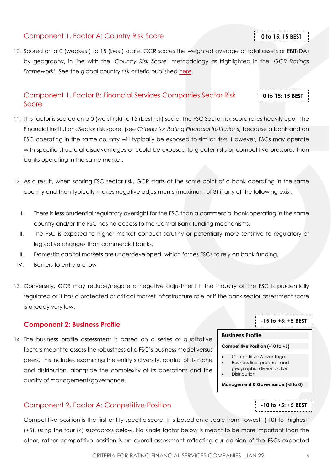### <span id="page-4-0"></span>Component 1, Factor A: Country Risk Score

10. Scored on a 0 (weakest) to 15 (best) scale. GCR scores the weighted average of total assets or EBIT(DA) by geography, in line with the *'Country Risk Score'* methodology as highlighted in the '*GCR Ratings Framework'.* See the global country risk criteria published [here.](http://gcrratings.com/criteria)

### <span id="page-4-1"></span>Component 1, Factor B: Financial Services Companies Sector Risk Score

11. This factor is scored on a 0 (worst risk) to 15 (best risk) scale. The FSC Sector risk score relies heavily upon the Financial Institutions Sector risk score, (see *Criteria for Rating Financial Institutions)* because a bank and an FSC operating in the same country will typically be exposed to similar risks. However, FSCs may operate with specific structural disadvantages or could be exposed to greater risks or competitive pressures than banks operating in the same market.

- 12. As a result, when scoring FSC sector risk, GCR starts at the same point of a bank operating in the same country and then typically makes negative adjustments (maximum of 3) if any of the following exist:
	- I. There is less prudential regulatory oversight for the FSC than a commercial bank operating in the same country and/or the FSC has no access to the Central Bank funding mechanisms,
	- II. The FSC is exposed to higher market conduct scrutiny or potentially more sensitive to regulatory or legislative changes than commercial banks,
- III. Domestic capital markets are underdeveloped, which forces FSCs to rely on bank funding,
- IV. Barriers to entry are low
- 13. Conversely, GCR may reduce/negate a negative adjustment if the industry of the FSC is prudentially regulated or it has a protected or critical market infrastructure role or if the bank sector assessment score is already very low.

### <span id="page-4-2"></span>**Component 2: Business Profile**

14. The business profile assessment is based on a series of qualitative factors meant to assess the robustness of a FSC's business model versus peers. This includes examining the entity's diversity, control of its niche and distribution, alongside the complexity of its operations and the quality of management/governance.

### <span id="page-4-3"></span>Component 2, Factor A: Competitive Position

Competitive position is the first entity specific score. It is based on a scale from 'lowest' (-10) to 'highest' (+5), using the four (4) subfactors below. No single factor below is meant to be more important than the other, rather competitive position is an overall assessment reflecting our opinion of the FSCs expected

<u>--------------</u> **-15 to +5: +5 BEST**

**-10 to +5: +5 BEST**

#### **Business Profile**

#### **Competitive Position (-10 to +5)**

- Competitive Advantage • Business line, product, and geographic diversification
- **Distribution**

**Management & Governance (-5 to 0)**

## **0 to 15: 15 BEST**

**0 to 15: 15 BEST**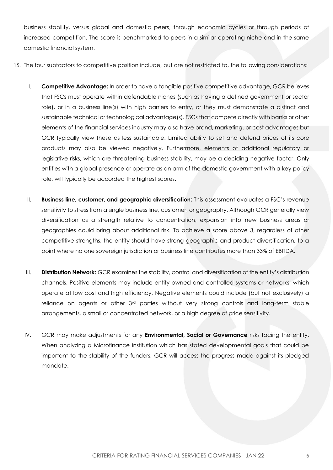business stability, versus global and domestic peers, through economic cycles or through periods of increased competition. The score is benchmarked to peers in a similar operating niche and in the same domestic financial system.

- 15. The four subfactors to competitive position include, but are not restricted to, the following considerations:
	- I. **Competitive Advantage:** In order to have a tangible positive competitive advantage, GCR believes that FSCs must operate within defendable niches (such as having a defined government or sector role), or in a business line(s) with high barriers to entry, or they must demonstrate a distinct and sustainable technical or technological advantage(s). FSCs that compete directly with banks or other elements of the financial services industry may also have brand, marketing, or cost advantages but GCR typically view these as less sustainable. Limited ability to set and defend prices of its core products may also be viewed negatively. Furthermore, elements of additional regulatory or legislative risks, which are threatening business stability, may be a deciding negative factor. Only entities with a global presence or operate as an arm of the domestic government with a key policy role, will typically be accorded the highest scores.
	- II. **Business line, customer, and geographic diversification:** This assessment evaluates a FSC's revenue sensitivity to stress from a single business line, customer, or geography. Although GCR generally view diversification as a strength relative to concentration, expansion into new business areas or geographies could bring about additional risk. To achieve a score above 3, regardless of other competitive strengths, the entity should have strong geographic and product diversification, to a point where no one sovereign jurisdiction or business line contributes more than 33% of EBITDA.
	- III. **Distribution Network:** GCR examines the stability, control and diversification of the entity's distribution channels. Positive elements may include entity owned and controlled systems or networks, which operate at low cost and high efficiency. Negative elements could include (but not exclusively) a reliance on agents or other 3rd parties without very strong controls and long-term stable arrangements, a small or concentrated network, or a high degree of price sensitivity.
	- IV. GCR may make adjustments for any **Environmental, Social or Governance** risks facing the entity. When analyzing a Microfinance institution which has stated developmental goals that could be important to the stability of the funders, GCR will access the progress made against its pledged mandate.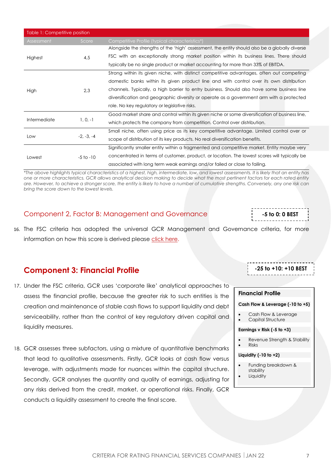| Table 1: Competitive position |               |                                                                                                |  |  |  |
|-------------------------------|---------------|------------------------------------------------------------------------------------------------|--|--|--|
| Assessment                    | Score         | Competitive Profile (typical characteristics*)                                                 |  |  |  |
|                               |               | Alongside the strengths of the 'high' assessment, the entity should also be a globally diverse |  |  |  |
| Highest                       | 4,5           | FSC with an exceptionally strong market position within its business lines. There should       |  |  |  |
|                               |               | typically be no single product or market accounting for more than 33% of EBITDA.               |  |  |  |
|                               |               | Strong within its given niche, with distinct competitive advantages, often out competing       |  |  |  |
|                               |               | domestic banks within its given product line and with control over its own distribution        |  |  |  |
| High                          | 2,3           | channels. Typically, a high barrier to entry business. Should also have some business line     |  |  |  |
|                               |               | diversification and geographic diversity or operate as a government arm with a protected       |  |  |  |
|                               |               | role. No key regulatory or legislative risks.                                                  |  |  |  |
|                               |               | Good market share and control within its given niche or some diversification of business line, |  |  |  |
| Intermediate                  | $1, 0, -1$    | which protects the company from competition. Control over distribution.                        |  |  |  |
|                               |               | Small niche, often using price as its key competitive advantage. Limited control over or       |  |  |  |
| Low                           | $-2, -3, -4$  | scope of distribution of its key products. No real diversification benefits.                   |  |  |  |
|                               |               | Significantly smaller entity within a fragmented and competitive market. Entity maybe very     |  |  |  |
| Lowest                        | $-5$ to $-10$ | concentrated in terms of customer, product, or location. The lowest scores will typically be   |  |  |  |
|                               |               | associated with long term weak earnings and/or failed or close to failing.                     |  |  |  |

*\*The above highlights typical characteristics of a highest, high, intermediate, low, and lowest assessments. It is likely that an entity has one or more characteristics. GCR allows analytical decision making to decide what the most pertinent factors for each rated entity are. However, to achieve a stronger score, the entity is likely to have a number of cumulative strengths. Conversely, any one risk can bring the score down to the lowest levels.* 

### <span id="page-6-0"></span>Component 2, Factor B: Management and Governance

16. The FSC criteria has adopted the universal GCR Management and Governance criteria, for more information on how this score is derived please click [here.](https://globalratings.net/news/article/gcr-requests-public-comment-on-draft-ratings-framework-criteria-and-draft-r)

### <span id="page-6-1"></span>**Component 3: Financial Profile**

- 17. Under the FSC criteria, GCR uses 'corporate like' analytical approaches to assess the financial profile, because the greater risk to such entities is the creation and maintenance of stable cash flows to support liquidity and debt serviceability, rather than the control of key regulatory driven capital and liquidity measures.
- 18. GCR assesses three subfactors, using a mixture of quantitative benchmarks that lead to qualitative assessments. Firstly, GCR looks at cash flow versus leverage, with adjustments made for nuances within the capital structure. Secondly, GCR analyses the quantity and quality of earnings, adjusting for any risks derived from the credit, market, or operational risks. Finally, GCR conducts a liquidity assessment to create the final score.

**-25 to +10: +10 BEST**-----------------

**-5 to 0: 0 BEST**

#### **Financial Profile**

#### **Cash Flow & Leverage (-10 to +5)**

- Cash Flow & Leverage
- Capital Structure

#### **Earnings v Risk (-5 to +3)**

- Revenue Strength & Stability
- Risks

#### **Liquidity (-10 to +2)**

- Funding breakdown & stability
- **Liquidity**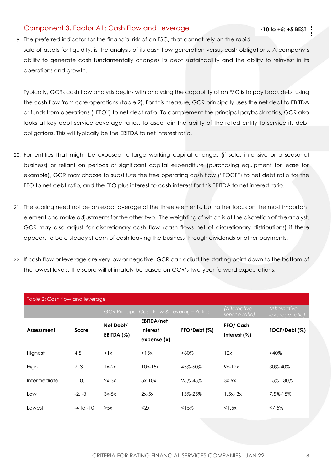### <span id="page-7-0"></span>Component 3, Factor A1: Cash Flow and Leverage

- **-10 to +5: +5 BEST**
- 19. The preferred indicator for the financial risk of an FSC, that cannot rely on the rapid sale of assets for liquidity, is the analysis of its cash flow generation versus cash obligations. A company's ability to generate cash fundamentally changes its debt sustainability and the ability to reinvest in its operations and growth.

Typically, GCRs cash flow analysis begins with analysing the capability of an FSC is to pay back debt using the cash flow from core operations (table 2). For this measure, GCR principally uses the net debt to EBITDA or funds from operations ("FFO") to net debt ratio. To complement the principal payback ratios, GCR also looks at key debt service coverage ratios, to ascertain the ability of the rated entity to service its debt obligations. This will typically be the EBITDA to net interest ratio.

- 20. For entities that might be exposed to large working capital changes (if sales intensive or a seasonal business) or reliant on periods of significant capital expenditure (purchasing equipment for lease for example), GCR may choose to substitute the free operating cash flow ("FOCF") to net debt ratio for the FFO to net debt ratio, and the FFO plus interest to cash interest for this EBITDA to net interest ratio.
- 21. The scoring need not be an exact average of the three elements, but rather focus on the most important element and make adjustments for the other two. The weighting of which is at the discretion of the analyst. GCR may also adjust for discretionary cash flow (cash flows net of discretionary distributions) if there appears to be a steady stream of cash leaving the business through dividends or other payments.
- 22. If cash flow or leverage are very low or negative, GCR can adjust the starting point down to the bottom of the lowest levels. The score will ultimately be based on GCR's two-year forward expectations.

| Table 2: Cash flow and leverage |               |              |                                                      |         |                                             |                                 |  |
|---------------------------------|---------------|--------------|------------------------------------------------------|---------|---------------------------------------------|---------------------------------|--|
|                                 |               |              | <b>GCR Principal Cash Flow &amp; Leverage Ratios</b> |         | <i><b>Alternative</b></i><br>service ratiol | (Alternative<br>leverage ratio) |  |
|                                 |               | Net Debt/    | EBITDA/net                                           |         | FFO/ Cash                                   |                                 |  |
| Assessment                      | Score         | EBITDA (%)   | FFO/Debt (%)<br><b>Interest</b>                      |         | Interest $(%)$                              | FOCF/Debt (%)                   |  |
|                                 |               |              | expense(x)                                           |         |                                             |                                 |  |
| Highest                         | 4,5           | $\langle$ 1x | >15x                                                 | $>60\%$ | 12x                                         | $>40\%$                         |  |
| High                            | 2, 3          | $1x-2x$      | $10x-15x$                                            | 45%-60% | $9x-12x$                                    | 30%-40%                         |  |
| Intermediate                    | $1, 0, -1$    | $2x-3x$      | $5x-10x$                                             | 25%-45% | $3x-9x$                                     | 15% - 30%                       |  |
| Low                             | $-2. -3$      | $3x-5x$      | $2x-5x$                                              | 15%-25% | $1.5x - 3x$                                 | 7.5%-15%                        |  |
| Lowest                          | $-4$ to $-10$ | >5x          | <2x                                                  | <15%    | $<$ 1.5 $\times$                            | $27.5\%$                        |  |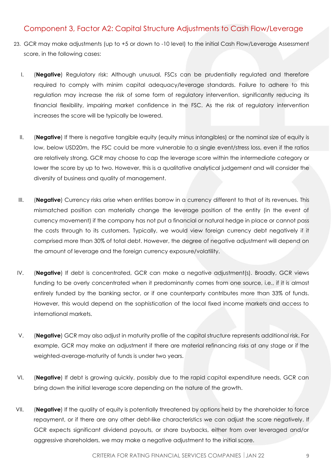### <span id="page-8-0"></span>Component 3, Factor A2: Capital Structure Adjustments to Cash Flow/Leverage

- 23. GCR may make adjustments (up to +5 or down to -10 level) to the initial Cash Flow/Leverage Assessment score, in the following cases:
	- I. (**Negative**) Regulatory risk: Although unusual, FSCs can be prudentially regulated and therefore required to comply with minim capital adequacy/leverage standards. Failure to adhere to this regulation may increase the risk of some form of regulatory intervention, significantly reducing its financial flexibility, impairing market confidence in the FSC. As the risk of regulatory intervention increases the score will be typically be lowered.
	- II. (**Negative**) If there is negative tangible equity (equity minus intangibles) or the nominal size of equity is low, below USD20m, the FSC could be more vulnerable to a single event/stress loss, even if the ratios are relatively strong. GCR may choose to cap the leverage score within the intermediate category or lower the score by up to two. However, this is a qualitative analytical judgement and will consider the diversity of business and quality of management.
	- III. (**Negative**) Currency risks arise when entities borrow in a currency different to that of its revenues. This mismatched position can materially change the leverage position of the entity (in the event of currency movement) if the company has not put a financial or natural hedge in place or cannot pass the costs through to its customers. Typically, we would view foreign currency debt negatively if it comprised more than 30% of total debt. However, the degree of negative adjustment will depend on the amount of leverage and the foreign currency exposure/volatility.
	- IV. (**Negative**) If debt is concentrated, GCR can make a negative adjustment(s). Broadly, GCR views funding to be overly concentrated when it predominantly comes from one source, i.e., if it is almost entirely funded by the banking sector, or if one counterparty contributes more than 33% of funds. However, this would depend on the sophistication of the local fixed income markets and access to international markets.
	- V. (**Negative**) GCR may also adjust in maturity profile of the capital structure represents additional risk. For example, GCR may make an adjustment if there are material refinancing risks at any stage or if the weighted-average-maturity of funds is under two years.
	- VI. (**Negative**) If debt is growing quickly, possibly due to the rapid capital expenditure needs, GCR can bring down the initial leverage score depending on the nature of the growth.
- VII. (**Negative**) If the quality of equity is potentially threatened by options held by the shareholder to force repayment, or if there are any other debt-like characteristics we can adjust the score negatively. If GCR expects significant dividend payouts, or share buybacks, either from over leveraged and/or aggressive shareholders, we may make a negative adjustment to the initial score.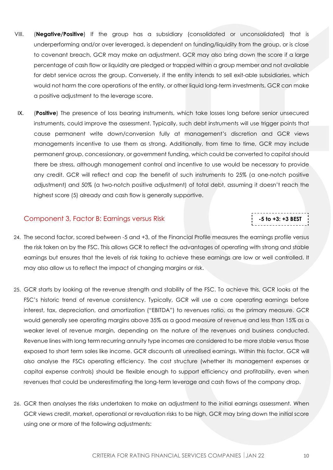- VIII. (**Negative/Positive**) If the group has a subsidiary (consolidated or unconsolidated) that is underperforming and/or over leveraged, is dependent on funding/liquidity from the group, or is close to covenant breach, GCR may make an adjustment. GCR may also bring down the score if a large percentage of cash flow or liquidity are pledged or trapped within a group member and not available for debt service across the group. Conversely, if the entity intends to sell exit-able subsidiaries, which would not harm the core operations of the entity, or other liquid long-term investments, GCR can make a positive adjustment to the leverage score.
- IX. (**Positive**) The presence of loss bearing instruments, which take losses long before senior unsecured instruments, could improve the assessment. Typically, such debt instruments will use trigger points that cause permanent write down/conversion fully at management's discretion and GCR views managements incentive to use them as strong. Additionally, from time to time, GCR may include permanent group, concessionary, or government funding, which could be converted to capital should there be stress, although management control and incentive to use would be necessary to provide any credit. GCR will reflect and cap the benefit of such instruments to 25% (a one-notch positive adjustment) and 50% (a two-notch positive adjustment) of total debt, assuming it doesn't reach the highest score (5) already and cash flow is generally supportive.

### <span id="page-9-0"></span>Component 3, Factor B: Earnings versus Risk

**-5 to +3: +3 BEST**

- 24. The second factor, scored between -5 and +3, of the Financial Profile measures the earnings profile versus the risk taken on by the FSC. This allows GCR to reflect the advantages of operating with strong and stable earnings but ensures that the levels of risk taking to achieve these earnings are low or well controlled. It may also allow us to reflect the impact of changing margins or risk.
- 25. GCR starts by looking at the revenue strength and stability of the FSC. To achieve this, GCR looks at the FSC's historic trend of revenue consistency. Typically, GCR will use a core operating earnings before interest, tax, depreciation, and amortization ("EBITDA") to revenues ratio, as the primary measure. GCR would generally see operating margins above 35% as a good measure of revenue and less than 15% as a weaker level of revenue margin, depending on the nature of the revenues and business conducted. Revenue lines with long term recurring annuity type incomes are considered to be more stable versus those exposed to short term sales like income. GCR discounts all unrealised earnings. Within this factor, GCR will also analyse the FSCs operating efficiency. The cost structure (whether its management expenses or capital expense controls) should be flexible enough to support efficiency and profitability, even when revenues that could be underestimating the long-term leverage and cash flows of the company drop.
- 26. GCR then analyses the risks undertaken to make an adjustment to the initial earnings assessment. When GCR views credit, market, operational or revaluation risks to be high, GCR may bring down the initial score using one or more of the following adjustments: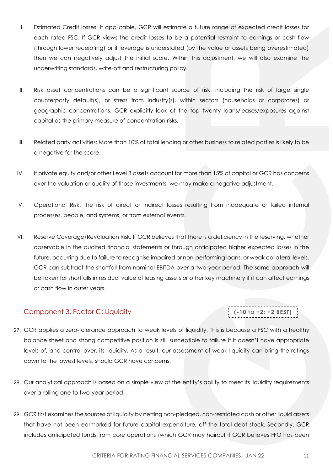- I. Estimated Credit losses: If applicable, GCR will estimate a future range of expected credit losses for each rated FSC. If GCR views the credit losses to be a potential restraint to earnings or cash flow (through lower receipting) or if leverage is understated (by the value or assets being overestimated) then we can negatively adjust the initial score. Within this adjustment, we will also examine the underwriting standards, write-off and restructuring policy.
- II. Risk asset concentrations can be a significant source of risk, including the risk of large single counterparty default(s), or stress from industry(s), within sectors (households or corporates) or geographic concentrations. GCR explicitly look at the top twenty loans/leases/exposures against capital as the primary measure of concentration risks.
- III. Related party activities: More than 10% of total lending or other business to related parties is likely to be a negative for the score.
- IV. If private equity and/or other Level 3 assets account for more than 15% of capital or GCR has concerns over the valuation or quality of those investments, we may make a negative adjustment.
- V. Operational Risk: the risk of direct or indirect losses resulting from inadequate or failed internal processes, people, and systems, or from external events.
- VI. Reserve Coverage/Revaluation Risk. If GCR believes that there is a deficiency in the reserving, whether observable in the audited financial statements or through anticipated higher expected losses in the future, occurring due to failure to recognise impaired or non-performing loans, or weak collateral levels, GCR can subtract the shortfall from nominal EBITDA over a two-year period. The same approach will be taken for shortfalls in residual value of leasing assets or other key machinery if it can affect earnings or cash flow in outer years.

### <span id="page-10-0"></span>Component 3, Factor C: Liquidity

**(-10 TO +2: +2 BEST)**

- 27. GCR applies a zero-tolerance approach to weak levels of liquidity. This is because a FSC with a healthy balance sheet and strong competitive position is still susceptible to failure if it doesn't have appropriate levels of, and control over, its liquidity. As a result, our assessment of weak liquidity can bring the ratings down to the lowest levels, should GCR have concerns.
- 28. Our analytical approach is based on a simple view of the entity's ability to meet its liquidity requirements over a rolling one to two-year period.
- 29. GCR first examines the sources of liquidity by netting non-pledged, non-restricted cash or other liquid assets that have not been earmarked for future capital expenditure, off the total debt stock. Secondly, GCR includes anticipated funds from core operations (which GCR may haircut if GCR believes FFO has been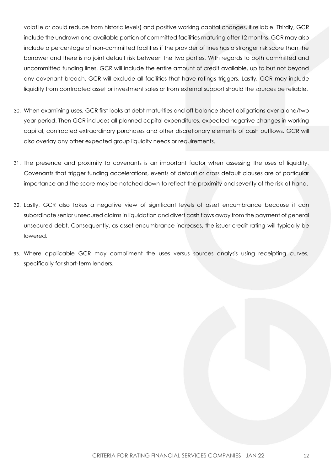volatile or could reduce from historic levels) and positive working capital changes, if reliable. Thirdly, GCR include the undrawn and available portion of committed facilities maturing after 12 months. GCR may also include a percentage of non-committed facilities if the provider of lines has a stronger risk score than the borrower and there is no joint default risk between the two parties. With regards to both committed and uncommitted funding lines, GCR will include the entire amount of credit available, up to but not beyond any covenant breach. GCR will exclude all facilities that have ratings triggers. Lastly, GCR may include liquidity from contracted asset or investment sales or from external support should the sources be reliable.

- 30. When examining uses, GCR first looks at debt maturities and off balance sheet obligations over a one/two year period. Then GCR includes all planned capital expenditures, expected negative changes in working capital, contracted extraordinary purchases and other discretionary elements of cash outflows. GCR will also overlay any other expected group liquidity needs or requirements.
- 31. The presence and proximity to covenants is an important factor when assessing the uses of liquidity. Covenants that trigger funding accelerations, events of default or cross default clauses are of particular importance and the score may be notched down to reflect the proximity and severity of the risk at hand.
- 32. Lastly, GCR also takes a negative view of significant levels of asset encumbrance because it can subordinate senior unsecured claims in liquidation and divert cash flows away from the payment of general unsecured debt. Consequently, as asset encumbrance increases, the issuer credit rating will typically be lowered.
- 33. Where applicable GCR may compliment the uses versus sources analysis using receipting curves, specifically for short-term lenders.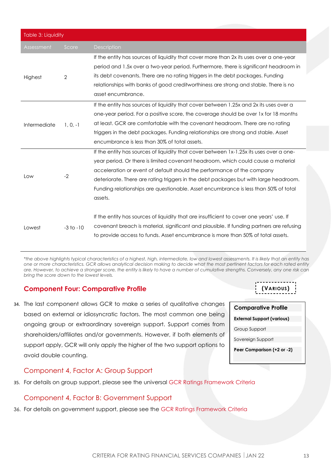| <b>Table 3: Liquidity</b> |                |                                                                                                                                                                                                                                                                                                                                                                                                                                                 |  |  |
|---------------------------|----------------|-------------------------------------------------------------------------------------------------------------------------------------------------------------------------------------------------------------------------------------------------------------------------------------------------------------------------------------------------------------------------------------------------------------------------------------------------|--|--|
| Assessment                | Score          | Description                                                                                                                                                                                                                                                                                                                                                                                                                                     |  |  |
| Highest                   | $\overline{2}$ | If the entity has sources of liquidity that cover more than 2x its uses over a one-year<br>period and 1.5x over a two-year period. Furthermore, there is significant headroom in<br>its debt covenants. There are no rating triggers in the debt packages. Funding<br>relationships with banks of good creditworthiness are strong and stable. There is no<br>asset encumbrance.                                                                |  |  |
| Intermediate              | $1, 0, -1$     | If the entity has sources of liquidity that cover between 1.25x and 2x its uses over a<br>one-year period. For a positive score, the coverage should be over 1x for 18 months<br>at least. GCR are comfortable with the covenant headroom. There are no rating<br>triggers in the debt packages. Funding relationships are strong and stable. Asset<br>encumbrance is less than 30% of total assets.                                            |  |  |
| Low                       | $-2$           | If the entity has sources of liquidity that cover between 1x-1.25x its uses over a one-<br>year period. Or there is limited covenant headroom, which could cause a material<br>acceleration or event of default should the performance of the company<br>deteriorate. There are rating triggers in the debt packages but with large headroom.<br>Funding relationships are questionable. Asset encumbrance is less than 50% of total<br>assets. |  |  |
| Lowest                    | $-3$ to $-10$  | If the entity has sources of liquidity that are insufficient to cover one years' use. If<br>covenant breach is material, significant and plausible. If funding partners are refusing<br>to provide access to funds. Asset encumbrance is more than 50% of total assets.                                                                                                                                                                         |  |  |

*\*the above highlights typical characteristics of a highest, high, intermediate, low and lowest assessments. It is likely that an entity has one or more characteristics. GCR allows analytical decision making to decide what the most pertinent factors for each rated entity are. However, to achieve a stronger score, the entity is likely to have a number of cumulative strengths. Conversely, any one risk can bring the score down to the lowest levels.* 

### <span id="page-12-0"></span>**Component Four: Comparative Profile**

34. The last component allows GCR to make a series of qualitative changes based on external or idiosyncratic factors. The most common one being ongoing group or extraordinary sovereign support. Support comes from shareholders/affiliates and/or governments. However, if both elements of support apply, GCR will only apply the higher of the two support options to avoid double counting.

### <span id="page-12-1"></span>Component 4, Factor A: Group Support

35. For details on group support, please see the universal GCR Ratings Framework Criteria

### <span id="page-12-2"></span>Component 4, Factor B: Government Support

36. For details on government support, please see the GCR Ratings Framework Criteria



**(VARIOUS)**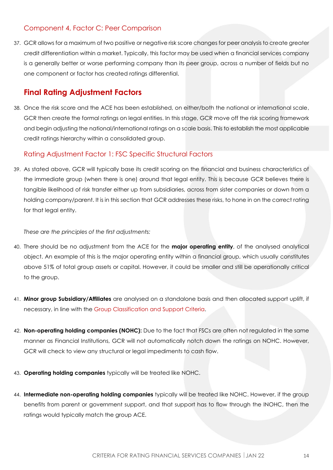### <span id="page-13-0"></span>Component 4, Factor C: Peer Comparison

37. GCR allows for a maximum of two positive or negative risk score changes for peer analysis to create greater credit differentiation within a market. Typically, this factor may be used when a financial services company is a generally better or worse performing company than its peer group, across a number of fields but no one component or factor has created ratings differential.

### <span id="page-13-1"></span>**Final Rating Adjustment Factors**

38. Once the risk score and the ACE has been established, on either/both the national or international scale, GCR then create the formal ratings on legal entities. In this stage, GCR move off the risk scoring framework and begin adjusting the national/international ratings on a scale basis. This to establish the most applicable credit ratings hierarchy within a consolidated group.

### <span id="page-13-2"></span>Rating Adjustment Factor 1: FSC Specific Structural Factors

39. As stated above, GCR will typically base its credit scoring on the financial and business characteristics of the immediate group (when there is one) around that legal entity. This is because GCR believes there is tangible likelihood of risk transfer either up from subsidiaries, across from sister companies or down from a holding company/parent. It is in this section that GCR addresses these risks, to hone in on the correct rating for that legal entity.

#### *These are the principles of the first adjustments:*

- 40. There should be no adjustment from the ACE for the **major operating entity**, of the analysed analytical object. An example of this is the major operating entity within a financial group, which usually constitutes above 51% of total group assets or capital. However, it could be smaller and still be operationally critical to the group.
- 41. **Minor group Subsidiary/Affiliates** are analysed on a standalone basis and then allocated support uplift, if necessary, in line with the [Group Classification and Support Criteria.](https://globalratings.net/news/article/gcr-requests-public-comment-on-draft-ratings-framework-criteria-and-draft-r)
- 42. **Non-operating holding companies (NOHC):** Due to the fact that FSCs are often not regulated in the same manner as Financial Institutions, GCR will not automatically notch down the ratings on NOHC. However, GCR will check to view any structural or legal impediments to cash flow.
- 43. **Operating holding companies** typically will be treated like NOHC.
- 44. **Intermediate non-operating holding companies** typically will be treated like NOHC. However, if the group benefits from parent or government support, and that support has to flow through the INOHC, then the ratings would typically match the group ACE.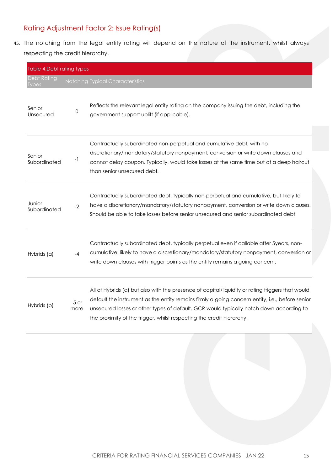### <span id="page-14-0"></span>Rating Adjustment Factor 2: Issue Rating(s)

45. The notching from the legal entity rating will depend on the nature of the instrument, whilst always respecting the credit hierarchy.

| Table 4:Debt rating types          |                 |                                                                                                                                                                                                                                                                                                                                                                         |
|------------------------------------|-----------------|-------------------------------------------------------------------------------------------------------------------------------------------------------------------------------------------------------------------------------------------------------------------------------------------------------------------------------------------------------------------------|
| <b>Debt Rating</b><br><b>Types</b> |                 | Notching Typical Characteristics                                                                                                                                                                                                                                                                                                                                        |
| Senior<br>Unsecured                | 0               | Reflects the relevant legal entity rating on the company issuing the debt, including the<br>government support uplift (if applicable).                                                                                                                                                                                                                                  |
| Senior<br>Subordinated             | -1              | Contractually subordinated non-perpetual and cumulative debt, with no<br>discretionary/mandatory/statutory nonpayment, conversion or write down clauses and<br>cannot delay coupon. Typically, would take losses at the same time but at a deep haircut<br>than senior unsecured debt.                                                                                  |
| Junior<br>Subordinated             | $-2$            | Contractually subordinated debt, typically non-perpetual and cumulative, but likely to<br>have a discretionary/mandatory/statutory nonpayment, conversion or write down clauses.<br>Should be able to take losses before senior unsecured and senior subordinated debt.                                                                                                 |
| Hybrids (a)                        | $-4$            | Contractually subordinated debt, typically perpetual even if callable after 5years, non-<br>cumulative, likely to have a discretionary/mandatory/statutory nonpayment, conversion or<br>write down clauses with trigger points as the entity remains a going concern.                                                                                                   |
| Hybrids (b)                        | $-5$ or<br>more | All of Hybrids (a) but also with the presence of capital/liquidity or rating triggers that would<br>default the instrument as the entity remains firmly a going concern entity, i.e., before senior<br>unsecured losses or other types of default. GCR would typically notch down according to<br>the proximity of the trigger, whilst respecting the credit hierarchy. |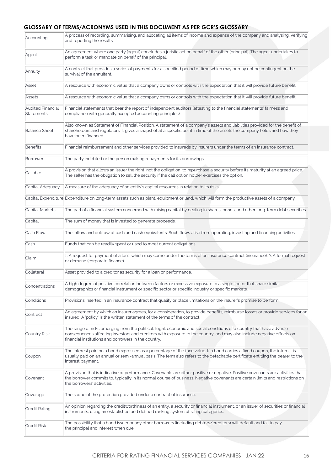#### **GLOSSARY OF TERMS/ACRONYMS USED IN THIS DOCUMENT AS PER GCR'S GLOSSARY**

| Accounting                      | A process of recording, summarising, and allocating all items of income and expense of the company and analysing, verifying<br>and reporting the results.                                                                                                                                             |
|---------------------------------|-------------------------------------------------------------------------------------------------------------------------------------------------------------------------------------------------------------------------------------------------------------------------------------------------------|
| Agent                           | An agreement where one party (agent) concludes a juristic act on behalf of the other (principal). The agent undertakes to<br>perform a task or mandate on behalf of the principal.                                                                                                                    |
| Annuity                         | A contract that provides a series of payments for a specified period of time which may or may not be contingent on the<br>survival of the annuitant.                                                                                                                                                  |
| Asset                           | A resource with economic value that a company owns or controls with the expectation that it will provide future benefit.                                                                                                                                                                              |
| Assets                          | A resource with economic value that a company owns or controls with the expectation that it will provide future benefit.                                                                                                                                                                              |
| Audited Financial<br>Statements | Financial statements that bear the report of independent auditors (attesting to the financial statements' fairness and<br>compliance with generally accepted accounting principles).                                                                                                                  |
| <b>Balance Sheet</b>            | Also known as Statement of Financial Position. A statement of a company's assets and liabilities provided for the benefit of<br>shareholders and regulators. It gives a snapshot at a specific point in time of the assets the company holds and how they<br>have been financed.                      |
| Benefits                        | Financial reimbursement and other services provided to insureds by insurers under the terms of an insurance contract.                                                                                                                                                                                 |
| Borrower                        | The party indebted or the person making repayments for its borrowings.                                                                                                                                                                                                                                |
| Callable                        | A provision that allows an Issuer the right, not the obligation, to repurchase a security before its maturity at an agreed price.<br>The seller has the obligation to sell the security if the call option holder exercises the option.                                                               |
| Capital Adequacy                | A measure of the adequacy of an entity's capital resources in relation to its risks.                                                                                                                                                                                                                  |
|                                 | Capital Expenditure Expenditure on long-term assets such as plant, equipment or land, which will form the productive assets of a company.                                                                                                                                                             |
| Capital Markets                 | The part of a financial system concerned with raising capital by dealing in shares, bonds, and other long-term debt securities.                                                                                                                                                                       |
| Capital                         | The sum of money that is invested to generate proceeds.                                                                                                                                                                                                                                               |
| Cash Flow                       | The inflow and outflow of cash and cash equivalents. Such flows arise from operating, investing and financing activities.                                                                                                                                                                             |
| Cash                            | Funds that can be readily spent or used to meet current obligations.                                                                                                                                                                                                                                  |
| Claim                           | 1. A request for payment of a loss, which may come under the terms of an insurance contract (insurance). 2. A formal request<br>or demand (corporate finance).                                                                                                                                        |
| Collateral                      | Asset provided to a creditor as security for a loan or performance.                                                                                                                                                                                                                                   |
| Concentrations                  | A high degree of positive correlation between factors or excessive exposure to a single factor that share similar<br>demographics or financial instrument or specific sector or specific industry or specific markets.                                                                                |
| Conditions                      | Provisions inserted in an insurance contract that qualify or place limitations on the insurer's promise to perform.                                                                                                                                                                                   |
| Contract                        | An agreement by which an insurer agrees, for a consideration, to provide benefits, reimburse losses or provide services for an<br>insured. A 'policy' is the written statement of the terms of the contract.                                                                                          |
| Country Risk                    | The range of risks emerging from the political, legal, economic and social conditions of a country that have adverse<br>consequences affecting investors and creditors with exposure to the country, and may also include negative effects on<br>financial institutions and borrowers in the country. |
| Coupon                          | The interest paid on a bond expressed as a percentage of the face value. If a bond carries a fixed coupon, the interest is<br>usually paid on an annual or semi-annual basis. The term also refers to the detachable certificate entitling the bearer to the<br>interest payment.                     |
| Covenant                        | A provision that is indicative of performance. Covenants are either positive or negative. Positive covenants are activities that<br>the borrower commits to, typically in its normal course of business. Negative covenants are certain limits and restrictions on<br>the borrowers' activities.      |
| Coverage                        | The scope of the protection provided under a contract of insurance.                                                                                                                                                                                                                                   |
| Credit Rating                   | An opinion regarding the creditworthiness of an entity, a security or financial instrument, or an issuer of securities or financial<br>instruments, using an established and defined ranking system of rating categories.                                                                             |
| Credit Risk                     | The possibility that a bond issuer or any other borrowers (including debtors/creditors) will default and fail to pay<br>the principal and interest when due.                                                                                                                                          |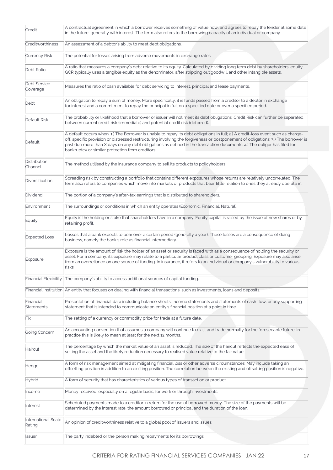| Credit                         | A contractual agreement in which a borrower receives something of value now, and agrees to repay the lender at some date<br>in the future, generally with interest. The term also refers to the borrowing capacity of an individual or company                                                                                                                                                                                                        |
|--------------------------------|-------------------------------------------------------------------------------------------------------------------------------------------------------------------------------------------------------------------------------------------------------------------------------------------------------------------------------------------------------------------------------------------------------------------------------------------------------|
| Creditworthiness               | An assessment of a debtor's ability to meet debt obligations.                                                                                                                                                                                                                                                                                                                                                                                         |
| Currency Risk                  | The potential for losses arising from adverse movements in exchange rates.                                                                                                                                                                                                                                                                                                                                                                            |
| Debt Ratio                     | A ratio that measures a company's debt relative to its equity. Calculated by dividing long term debt by shareholders' equity.<br>GCR typically uses a tangible equity as the denominator, after stripping out goodwill and other intangible assets.                                                                                                                                                                                                   |
| Debt Service<br>Coverage       | Measures the ratio of cash available for debt servicing to interest, principal and lease payments.                                                                                                                                                                                                                                                                                                                                                    |
| Debt                           | An obligation to repay a sum of money. More specifically, it is funds passed from a creditor to a debtor in exchange<br>for interest and a commitment to repay the principal in full on a specified date or over a specified period.                                                                                                                                                                                                                  |
| Default Risk                   | The probability or likelihood that a borrower or issuer will not meet its debt obligations. Credit Risk can further be separated<br>between current credit risk (immediate) and potential credit risk (deferred).                                                                                                                                                                                                                                     |
| Default                        | A default occurs when: 1.) The Borrower is unable to repay its debt obligations in full; 2.) A credit-loss event such as charge-<br>off, specific provision or distressed restructuring involving the forgiveness or postponement of obligations; 3.) The borrower is<br>past due more than X days on any debt obligations as defined in the transaction documents; 4.) The obligor has filed for<br>bankruptcy or similar protection from creditors. |
| Distribution<br>Channel        | The method utilised by the insurance company to sell its products to policyholders.                                                                                                                                                                                                                                                                                                                                                                   |
| Diversification                | Spreading risk by constructing a portfolio that contains different exposures whose returns are relatively uncorrelated. The<br>term also refers to companies which move into markets or products that bear little relation to ones they already operate in.                                                                                                                                                                                           |
| Dividend                       | The portion of a company's after-tax earnings that is distributed to shareholders.                                                                                                                                                                                                                                                                                                                                                                    |
| Environment                    | The surroundings or conditions in which an entity operates (Economic, Financial, Natural).                                                                                                                                                                                                                                                                                                                                                            |
| Equity                         | Equity is the holding or stake that shareholders have in a company. Equity capital is raised by the issue of new shares or by<br>retaining profit.                                                                                                                                                                                                                                                                                                    |
| <b>Expected Loss</b>           | Losses that a bank expects to bear over a certain period (generally a year). These losses are a consequence of doing<br>business, namely the bank's role as financial intermediary.                                                                                                                                                                                                                                                                   |
| Exposure                       | Exposure is the amount of risk the holder of an asset or security is faced with as a consequence of holding the security or<br>asset. For a company, its exposure may relate to a particular product class or customer grouping. Exposure may also arise<br>from an overreliance on one source of funding. In insurance, it refers to an individual or company's vulnerability to various<br>risks                                                    |
|                                | Financial Flexibility The company's ability to access additional sources of capital funding.                                                                                                                                                                                                                                                                                                                                                          |
|                                | Financial Institution An entity that focuses on dealing with financial transactions, such as investments, loans and deposits.                                                                                                                                                                                                                                                                                                                         |
| Financial<br>Statements        | Presentation of financial data including balance sheets, income statements and statements of cash flow, or any supporting<br>statement that is intended to communicate an entity's financial position at a point in time.                                                                                                                                                                                                                             |
| Fix                            | The setting of a currency or commodity price for trade at a future date.                                                                                                                                                                                                                                                                                                                                                                              |
| Going Concern                  | An accounting convention that assumes a company will continue to exist and trade normally for the foreseeable future. In<br>practice this is likely to mean at least for the next 12 months.                                                                                                                                                                                                                                                          |
| Haircut                        | The percentage by which the market value of an asset is reduced. The size of the haircut reflects the expected ease of<br>selling the asset and the likely reduction necessary to realised value relative to the fair value.                                                                                                                                                                                                                          |
| Hedge                          | A form of risk management aimed at mitigating financial loss or other adverse circumstances. May include taking an<br>offsetting position in addition to an existing position. The correlation between the existing and offsetting position is negative.                                                                                                                                                                                              |
| Hybrid                         | A form of security that has characteristics of various types of transaction or product.                                                                                                                                                                                                                                                                                                                                                               |
| Income                         | Money received, especially on a regular basis, for work or through investments.                                                                                                                                                                                                                                                                                                                                                                       |
| Interest                       | Scheduled payments made to a creditor in return for the use of borrowed money. The size of the payments will be<br>determined by the interest rate, the amount borrowed or principal and the duration of the loan.                                                                                                                                                                                                                                    |
| International Scale<br>Rating. | An opinion of creditworthiness relative to a global pool of issuers and issues.                                                                                                                                                                                                                                                                                                                                                                       |
| Issuer                         | The party indebted or the person making repayments for its borrowings.                                                                                                                                                                                                                                                                                                                                                                                |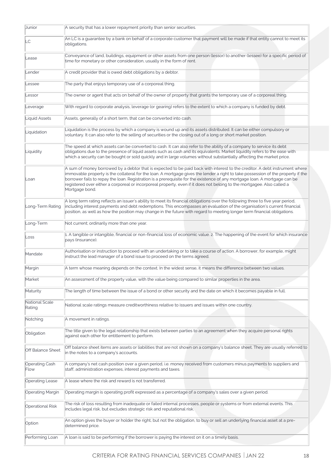| Junior                   | A security that has a lower repayment priority than senior securities.                                                                                                                                                                                                                                                                                                                                                                                                                                                                    |
|--------------------------|-------------------------------------------------------------------------------------------------------------------------------------------------------------------------------------------------------------------------------------------------------------------------------------------------------------------------------------------------------------------------------------------------------------------------------------------------------------------------------------------------------------------------------------------|
| LC                       | An LC is a guarantee by a bank on behalf of a corporate customer that payment will be made if that entity cannot to meet its<br>obligations.                                                                                                                                                                                                                                                                                                                                                                                              |
| Lease                    | Conveyance of land, buildings, equipment or other assets from one person (lessor) to another (lessee) for a specific period of<br>time for monetary or other consideration, usually in the form of rent.                                                                                                                                                                                                                                                                                                                                  |
| Lender                   | A credit provider that is owed debt obligations by a debtor.                                                                                                                                                                                                                                                                                                                                                                                                                                                                              |
| Lessee                   | The party that enjoys temporary use of a corporeal thing.                                                                                                                                                                                                                                                                                                                                                                                                                                                                                 |
| Lessor                   | The owner or agent that acts on behalf of the owner of property that grants the temporary use of a corporeal thing.                                                                                                                                                                                                                                                                                                                                                                                                                       |
| Leverage                 | With regard to corporate analysis, leverage (or gearing) refers to the extent to which a company is funded by debt.                                                                                                                                                                                                                                                                                                                                                                                                                       |
| Liquid Assets            | Assets, generally of a short term, that can be converted into cash.                                                                                                                                                                                                                                                                                                                                                                                                                                                                       |
| Liquidation              | Liquidation is the process by which a company is wound up and its assets distributed. It can be either compulsory or<br>voluntary. It can also refer to the selling of securities or the closing out of a long or short market position.                                                                                                                                                                                                                                                                                                  |
| Liquidity                | The speed at which assets can be converted to cash. It can also refer to the ability of a company to service its debt<br>obligations due to the presence of liquid assets such as cash and its equivalents. Market liquidity refers to the ease with<br>which a security can be bought or sold quickly and in large volumes without substantially affecting the market price.                                                                                                                                                             |
| Loan                     | A sum of money borrowed by a debtor that is expected to be paid back with interest to the creditor. A debt instrument where<br>immovable property is the collateral for the loan. A mortgage gives the lender a right to take possession of the property if the<br>borrower fails to repay the loan. Registration is a prerequisite for the existence of any mortgage loan. A mortgage can be<br>registered over either a corporeal or incorporeal property, even if it does not belong to the mortgagee. Also called a<br>Mortgage bond. |
| Long-Term Rating         | A long term rating reflects an issuer's ability to meet its financial obligations over the following three to five year period,<br>including interest payments and debt redemptions. This encompasses an evaluation of the organisation's current financial<br>position, as well as how the position may change in the future with regard to meeting longer term financial obligations.                                                                                                                                                   |
| Long-Term                | Not current; ordinarily more than one year.                                                                                                                                                                                                                                                                                                                                                                                                                                                                                               |
| Loss                     | 1. A tangible or intangible, financial or non-financial loss of economic value. 2. The happening of the event for which insurance<br>pays (insurance).                                                                                                                                                                                                                                                                                                                                                                                    |
| Mandate                  | Authorisation or instruction to proceed with an undertaking or to take a course of action. A borrower, for example, might<br>instruct the lead manager of a bond issue to proceed on the terms agreed.                                                                                                                                                                                                                                                                                                                                    |
| Margin                   | A term whose meaning depends on the context. In the widest sense, it means the difference between two values.                                                                                                                                                                                                                                                                                                                                                                                                                             |
| Market                   | An assessment of the property value, with the value being compared to similar properties in the area.                                                                                                                                                                                                                                                                                                                                                                                                                                     |
| Maturity                 | The length of time between the issue of a bond or other security and the date on which it becomes payable in full.                                                                                                                                                                                                                                                                                                                                                                                                                        |
| National Scale<br>Rating | National scale ratings measure creditworthiness relative to issuers and issues within one country.                                                                                                                                                                                                                                                                                                                                                                                                                                        |
| Notching                 | A movement in ratings.                                                                                                                                                                                                                                                                                                                                                                                                                                                                                                                    |
| Obligation               | The title given to the legal relationship that exists between parties to an agreement when they acquire personal rights<br>against each other for entitlement to perform.                                                                                                                                                                                                                                                                                                                                                                 |
| <b>Off Balance Sheet</b> | Off balance sheet items are assets or liabilities that are not shown on a company's balance sheet. They are usually referred to<br>in the notes to a company's accounts.                                                                                                                                                                                                                                                                                                                                                                  |
| Operating Cash<br>Flow   | A company's net cash position over a given period, i.e. money received from customers minus payments to suppliers and<br>staff, administration expenses, interest payments and taxes.                                                                                                                                                                                                                                                                                                                                                     |
| <b>Operating Lease</b>   | A lease where the risk and reward is not transferred.                                                                                                                                                                                                                                                                                                                                                                                                                                                                                     |
| <b>Operating Margin</b>  | Operating margin is operating profit expressed as a percentage of a company's sales over a given period.                                                                                                                                                                                                                                                                                                                                                                                                                                  |
| <b>Operational Risk</b>  | The risk of loss resulting from inadequate or failed internal processes, people or systems or from external events. This<br>includes legal risk, but excludes strategic risk and reputational risk.                                                                                                                                                                                                                                                                                                                                       |
| Option                   | An option gives the buyer or holder the right, but not the obligation, to buy or sell an underlying financial asset at a pre-<br>determined price.                                                                                                                                                                                                                                                                                                                                                                                        |
| Performing Loan          | A loan is said to be performing if the borrower is paying the interest on it on a timely basis.                                                                                                                                                                                                                                                                                                                                                                                                                                           |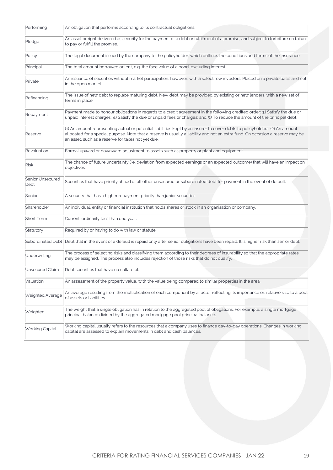| Performing               | An obligation that performs according to its contractual obligations.                                                                                                                                                                                                                                                        |
|--------------------------|------------------------------------------------------------------------------------------------------------------------------------------------------------------------------------------------------------------------------------------------------------------------------------------------------------------------------|
| Pledge                   | An asset or right delivered as security for the payment of a debt or fulfillment of a promise, and subject to forfeiture on failure<br>to pay or fulfill the promise.                                                                                                                                                        |
| Policy                   | The legal document issued by the company to the policyholder, which outlines the conditions and terms of the insurance.                                                                                                                                                                                                      |
| Principal                | The total amount borrowed or lent, e.g. the face value of a bond, excluding interest.                                                                                                                                                                                                                                        |
| Private                  | An issuance of securities without market participation, however, with a select few investors. Placed on a private basis and not<br>in the open market.                                                                                                                                                                       |
| Refinancing              | The issue of new debt to replace maturing debt. New debt may be provided by existing or new lenders, with a new set of<br>terms in place.                                                                                                                                                                                    |
| Repayment                | Payment made to honour obligations in regards to a credit agreement in the following credited order: 3.) Satisfy the due or<br>unpaid interest charges; 4.) Satisfy the due or unpaid fees or charges; and 5.) To reduce the amount of the principal debt.                                                                   |
| Reserve                  | $(1)$ An amount representing actual or potential liabilities kept by an insurer to cover debts to policyholders. (2) An amount<br>allocated for a special purpose. Note that a reserve is usually a liability and not an extra fund. On occasion a reserve may be<br>$\!$ an asset, such as a reserve for taxes not yet due. |
| Revaluation              | Formal upward or downward adjustment to assets such as property or plant and equipment.                                                                                                                                                                                                                                      |
| Risk                     | The chance of future uncertainty (i.e. deviation from expected earnings or an expected outcome) that will have an impact on<br>objectives.                                                                                                                                                                                   |
| Senior Unsecured<br>Debt | Securities that have priority ahead of all other unsecured or subordinated debt for payment in the event of default.                                                                                                                                                                                                         |
| Senior                   | A security that has a higher repayment priority than junior securities.                                                                                                                                                                                                                                                      |
| Shareholder              | An individual, entity or financial institution that holds shares or stock in an organisation or company.                                                                                                                                                                                                                     |
| Short Term               | Current; ordinarily less than one year.                                                                                                                                                                                                                                                                                      |
| Statutory                | Required by or having to do with law or statute.                                                                                                                                                                                                                                                                             |
|                          | Subordinated Debt Debt that in the event of a default is repaid only after senior obligations have been repaid. It is higher risk than senior debt.                                                                                                                                                                          |
| Underwriting             | The process of selecting risks and classifying them according to their degrees of insurability so that the appropriate rates<br>may be assigned. The process also includes rejection of those risks that do not qualify.                                                                                                     |
| Unsecured Claim          | Debt securities that have no collateral.                                                                                                                                                                                                                                                                                     |
| Valuation                | An assessment of the property value, with the value being compared to similar properties in the area.                                                                                                                                                                                                                        |
| Weighted Average         | An average resulting from the multiplication of each component by a factor reflecting its importance or, relative size to a pool<br>of assets or liabilities.                                                                                                                                                                |
| Weighted                 | The weight that a single obligation has in relation to the aggregated pool of obligations. For example, a single mortgage<br>principal balance divided by the aggregated mortgage pool principal balance.                                                                                                                    |
| Working Capital          | Working capital usually refers to the resources that a company uses to finance day-to-day operations. Changes in working<br>capital are assessed to explain movements in debt and cash balances.                                                                                                                             |